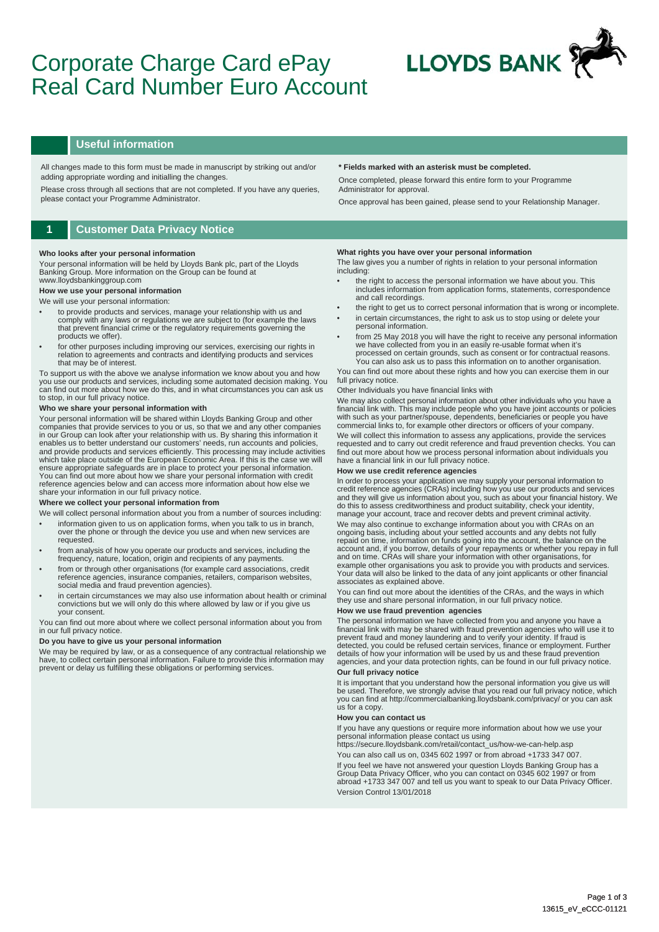# Corporate Charge Card ePay Real Card Number Euro Account



### **Useful information**

All changes made to this form must be made in manuscript by striking out and/or adding appropriate wording and initialling the changes.

Please cross through all sections that are not completed. If you have any queries, please contact your Programme Administrator.

### **1 Customer Data Privacy Notice**

#### **Who looks after your personal information**

Your personal information will be held by Lloyds Bank plc, part of the Lloyds Banking Group. More information on the Group can be found at www.lloydsbankinggroup.com

## **How we use your personal information**

### We will use your personal information:

- to provide products and services, manage your relationship with us and comply with any laws or regulations we are subject to (for example the laws that prevent financial crime or the regulatory requirements governing the products we offer).
- for other purposes including improving our services, exercising our rights in relation to agreements and contracts and identifying products and services that may be of interest.

To support us with the above we analyse information we know about you and how you use our products and services, including some automated decision making. You can find out more about how we do this, and in what circumstances you can ask us to stop, in our full privacy notice.

### **Who we share your personal information with**

Your personal information will be shared within Lloyds Banking Group and other companies that provide services to you or us, so that we and any other companies<br>in our Group can look after your relationship with us. By sharing this information it<br>enables us to better understand our customers' needs, r which take place outside of the European Economic Area. If this is the case we will ensure appropriate safeguards are in place to protect your personal information. You can find out more about how we share your personal information with credit reference agencies below and can access more information about how else we share your information in our full privacy notice.

#### **Where we collect your personal information from**

- We will collect personal information about you from a number of sources including: • information given to us on application forms, when you talk to us in branch, over the phone or through the device you use and when new services are requested.
- from analysis of how you operate our products and services, including the frequency, nature, location, origin and recipients of any payments.
- from or through other organisations (for example card associations, credit reference agencies, insurance companies, retailers, comparison websites, social media and fraud prevention agencies).
- in certain circumstances we may also use information about health or criminal convictions but we will only do this where allowed by law or if you give us your consent.

You can find out more about where we collect personal information about you from in our full privacy notice.

#### **Do you have to give us your personal information**

We may be required by law, or as a consequence of any contractual relationship we have, to collect certain personal information. Failure to provide this information may prevent or delay us fulfilling these obligations or performing services.

#### **\* Fields marked with an asterisk must be completed.**

Once completed, please forward this entire form to your Programme Administrator for approval.

Once approval has been gained, please send to your Relationship Manager.

#### **What rights you have over your personal information**

The law gives you a number of rights in relation to your personal information including:

- the right to access the personal information we have about you. This includes information from application forms, statements, correspondence and call recordings.
- the right to get us to correct personal information that is wrong or incomplete. in certain circumstances, the right to ask us to stop using or delete your
- personal information. • from 25 May 2018 you will have the right to receive any personal information we have collected from you in an easily re-usable format when it's
- processed on certain grounds, such as consent or for contractual reasons. You can also ask us to pass this information on to another organisation.

You can find out more about these rights and how you can exercise them in our full privacy notice

#### Other Individuals you have financial links with

We may also collect personal information about other individuals who you have a financial link with. This may include people who you have joint accounts or policies with such as your partner/spouse, dependents, beneficiaries or people you have commercial links to, for example other directors or officers of your company.

We will collect this information to assess any applications, provide the services requested and to carry out credit reference and fraud prevention checks. You can find out more about how we process personal information about individuals you have a financial link in our full privacy notice.

#### **How we use credit reference agencies**

In order to process your application we may supply your personal information to credit reference agencies (CRAs) including how you use our products and services and they will give us information about you, such as about your financial history. We do this to assess creditworthiness and product suitability, check your identity, manage your account, trace and recover debts and prevent criminal activity.

We may also continue to exchange information about you with CRAs on an ongoing basis, including about your settled accounts and any debts not fully repaid on time, information on funds going into the account, the balance on the account and, if you borrow, details of your repayments or whether you repay in full<br>and on time. CRAs will share your information with other organisations, for<br>example other organisations you ask to provide you with produc Your data will also be linked to the data of any joint applicants or other financial associates as explained above.

You can find out more about the identities of the CRAs, and the ways in which they use and share personal information, in our full privacy notice.

### **How we use fraud prevention agencies**

The personal information we have collected from you and anyone you have a<br>financial link with may be shared with fraud prevention agencies who will use it to<br>prevent fraud and money laundering and to verify your identity. detected, you could be refused certain services, finance or employment. Further details of how your information will be used by us and these fraud prevention agencies, and your data protection rights, can be found in our full privacy notice. **Our full privacy notice** 

It is important that you understand how the personal information you give us will be used. Therefore, we strongly advise that you read our full privacy notice, which you can find at http://commercialbanking.lloydsbank.com/privacy/ or you can ask us for a copy.

#### **How you can contact us**

If you have any questions or require more information about how we use your personal information please contact us using

https://secure.lloydsbank.com/retail/contact\_us/how-we-can-help.asp You can also call us on, 0345 602 1997 or from abroad +1733 347 007. If you feel we have not answered your question Lloyds Banking Group has a Group Data Privacy Officer, who you can contact on 0345 602 1997 or from abroad +1733 347 007 and tell us you want to speak to our Data Privacy Officer. Version Control 13/01/2018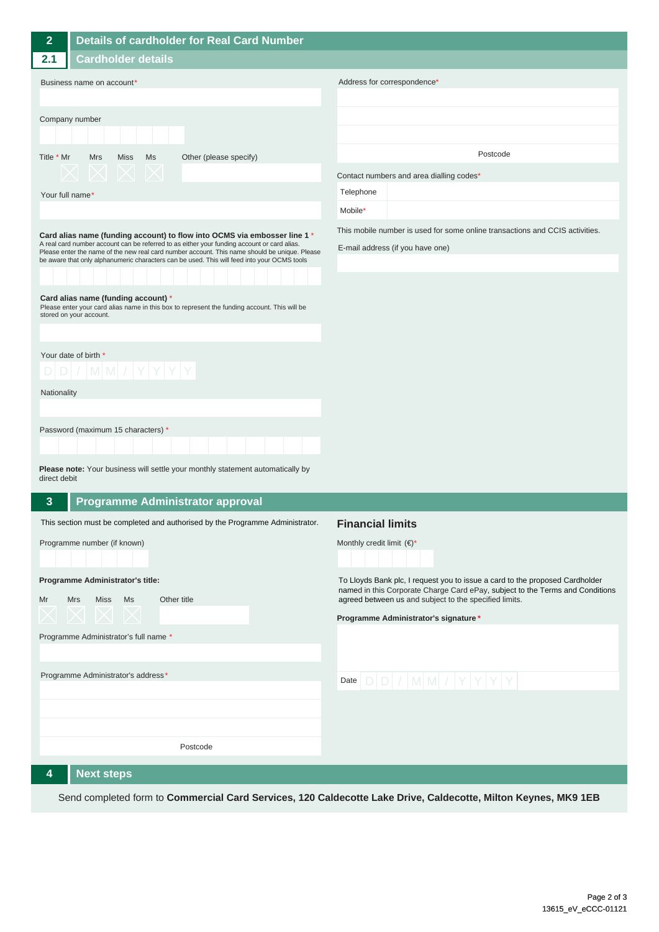| $\overline{2}$                                                                                                                                                                                                                                                                                                                                                           | Details of cardholder for Real Card Number                                         |                                                                                                                                                               |
|--------------------------------------------------------------------------------------------------------------------------------------------------------------------------------------------------------------------------------------------------------------------------------------------------------------------------------------------------------------------------|------------------------------------------------------------------------------------|---------------------------------------------------------------------------------------------------------------------------------------------------------------|
| 2.1                                                                                                                                                                                                                                                                                                                                                                      | <b>Cardholder details</b>                                                          |                                                                                                                                                               |
| Business name on account*                                                                                                                                                                                                                                                                                                                                                |                                                                                    | Address for correspondence*                                                                                                                                   |
|                                                                                                                                                                                                                                                                                                                                                                          |                                                                                    |                                                                                                                                                               |
| Company number                                                                                                                                                                                                                                                                                                                                                           |                                                                                    |                                                                                                                                                               |
|                                                                                                                                                                                                                                                                                                                                                                          |                                                                                    |                                                                                                                                                               |
| Title * Mr                                                                                                                                                                                                                                                                                                                                                               | <b>Mrs</b><br><b>Miss</b><br>Ms<br>Other (please specify)                          | Postcode                                                                                                                                                      |
|                                                                                                                                                                                                                                                                                                                                                                          |                                                                                    | Contact numbers and area dialling codes*                                                                                                                      |
| Your full name*                                                                                                                                                                                                                                                                                                                                                          |                                                                                    | Telephone                                                                                                                                                     |
|                                                                                                                                                                                                                                                                                                                                                                          |                                                                                    | Mobile*                                                                                                                                                       |
| Card alias name (funding account) to flow into OCMS via embosser line 1 *<br>A real card number account can be referred to as either your funding account or card alias.<br>Please enter the name of the new real card number account. This name should be unique. Please<br>be aware that only alphanumeric characters can be used. This will feed into your OCMS tools |                                                                                    | This mobile number is used for some online transactions and CCIS activities.                                                                                  |
|                                                                                                                                                                                                                                                                                                                                                                          |                                                                                    | E-mail address (if you have one)                                                                                                                              |
|                                                                                                                                                                                                                                                                                                                                                                          |                                                                                    |                                                                                                                                                               |
| Card alias name (funding account) *                                                                                                                                                                                                                                                                                                                                      |                                                                                    |                                                                                                                                                               |
| Please enter your card alias name in this box to represent the funding account. This will be<br>stored on your account.                                                                                                                                                                                                                                                  |                                                                                    |                                                                                                                                                               |
|                                                                                                                                                                                                                                                                                                                                                                          |                                                                                    |                                                                                                                                                               |
|                                                                                                                                                                                                                                                                                                                                                                          | Your date of birth *                                                               |                                                                                                                                                               |
| $D[D]/ M M / Y Y Y Y$                                                                                                                                                                                                                                                                                                                                                    |                                                                                    |                                                                                                                                                               |
| Nationality                                                                                                                                                                                                                                                                                                                                                              |                                                                                    |                                                                                                                                                               |
|                                                                                                                                                                                                                                                                                                                                                                          |                                                                                    |                                                                                                                                                               |
|                                                                                                                                                                                                                                                                                                                                                                          | Password (maximum 15 characters) *                                                 |                                                                                                                                                               |
|                                                                                                                                                                                                                                                                                                                                                                          |                                                                                    |                                                                                                                                                               |
| direct debit                                                                                                                                                                                                                                                                                                                                                             | Please note: Your business will settle your monthly statement automatically by     |                                                                                                                                                               |
| $\mathbf{3}$                                                                                                                                                                                                                                                                                                                                                             | <b>Programme Administrator approval</b>                                            |                                                                                                                                                               |
|                                                                                                                                                                                                                                                                                                                                                                          | This section must be completed and authorised by the Programme Administrator.      | <b>Financial limits</b>                                                                                                                                       |
|                                                                                                                                                                                                                                                                                                                                                                          | Programme number (if known)                                                        | Monthly credit limit $(\epsilon)^*$                                                                                                                           |
|                                                                                                                                                                                                                                                                                                                                                                          |                                                                                    |                                                                                                                                                               |
|                                                                                                                                                                                                                                                                                                                                                                          | Programme Administrator's title:                                                   | To Lloyds Bank plc, I request you to issue a card to the proposed Cardholder<br>named in this Corporate Charge Card ePay, subject to the Terms and Conditions |
| Mr                                                                                                                                                                                                                                                                                                                                                                       | <b>Mrs</b><br>Miss Ms<br>Other title                                               | agreed between us and subject to the specified limits.                                                                                                        |
|                                                                                                                                                                                                                                                                                                                                                                          | $\curvearrowright \hspace{0.1cm} \curvearrowright \hspace{0.1cm} \curvearrowright$ | Programme Administrator's signature *                                                                                                                         |
| Programme Administrator's full name *                                                                                                                                                                                                                                                                                                                                    |                                                                                    |                                                                                                                                                               |
|                                                                                                                                                                                                                                                                                                                                                                          |                                                                                    |                                                                                                                                                               |
|                                                                                                                                                                                                                                                                                                                                                                          | Programme Administrator's address*                                                 | Date $D D / M M / Y Y Y$                                                                                                                                      |
|                                                                                                                                                                                                                                                                                                                                                                          |                                                                                    |                                                                                                                                                               |
|                                                                                                                                                                                                                                                                                                                                                                          |                                                                                    |                                                                                                                                                               |
|                                                                                                                                                                                                                                                                                                                                                                          |                                                                                    |                                                                                                                                                               |
|                                                                                                                                                                                                                                                                                                                                                                          | Postcode                                                                           |                                                                                                                                                               |
| 4                                                                                                                                                                                                                                                                                                                                                                        | <b>Next steps</b>                                                                  |                                                                                                                                                               |

Send completed form to **Commercial Card Services, 120 Caldecotte Lake Drive, Caldecotte, Milton Keynes, MK9 1EB**